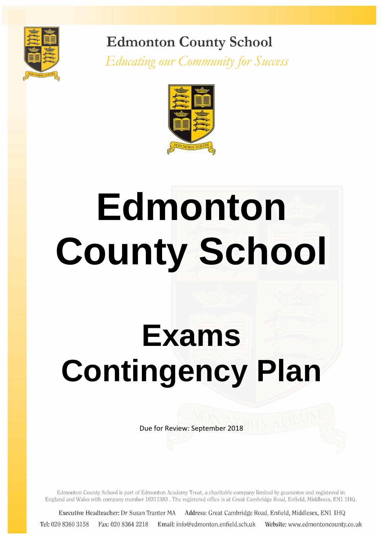

**Edmonton County School** 

**Educating our Community for Success** 



# **Edmonton County School**

# **Exams Contingency Plan**

Due for Review: September 2018

Edmonton County School is part of Edmonton Academy Trust, a charitable company limited by guarantee and registered in England and Wales with company number 10311383. The registered office is at Great Cambridge Road, Enfield, Middlesex, EN1 1HQ.

Address: Great Cambridge Road, Enfield, Middlesex, EN1 1HQ Executive Headteacher: Dr Susan Tranter MA Tel: 020 8360 3158 Fax: 020 8364 2218 Email: info@edmonton.enfield.sch.uk Website: www.edmontoncounty.co.uk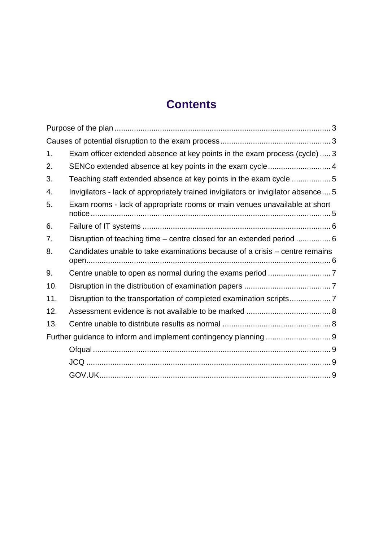# **Contents**

| 1.  | Exam officer extended absence at key points in the exam process (cycle)  3         |  |
|-----|------------------------------------------------------------------------------------|--|
| 2.  | SENCo extended absence at key points in the exam cycle 4                           |  |
| 3.  | Teaching staff extended absence at key points in the exam cycle  5                 |  |
| 4.  | Invigilators - lack of appropriately trained invigilators or invigilator absence 5 |  |
| 5.  | Exam rooms - lack of appropriate rooms or main venues unavailable at short         |  |
| 6.  |                                                                                    |  |
| 7.  | Disruption of teaching time – centre closed for an extended period  6              |  |
| 8.  | Candidates unable to take examinations because of a crisis – centre remains        |  |
| 9.  |                                                                                    |  |
| 10. |                                                                                    |  |
| 11. | Disruption to the transportation of completed examination scripts7                 |  |
| 12. |                                                                                    |  |
| 13. |                                                                                    |  |
|     |                                                                                    |  |
|     |                                                                                    |  |
|     |                                                                                    |  |
|     |                                                                                    |  |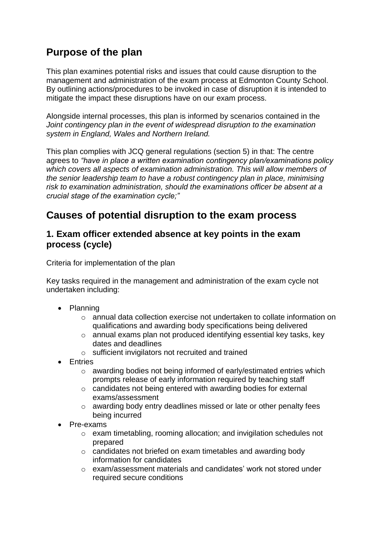# <span id="page-2-0"></span>**Purpose of the plan**

This plan examines potential risks and issues that could cause disruption to the management and administration of the exam process at Edmonton County School. By outlining actions/procedures to be invoked in case of disruption it is intended to mitigate the impact these disruptions have on our exam process.

Alongside internal processes, this plan is informed by scenarios contained in the *Joint contingency plan in the event of widespread disruption to the examination system in England, Wales and Northern Ireland.*

This plan complies with JCQ general regulations (section 5) in that: The centre agrees to *"have in place a written examination contingency plan/examinations policy which covers all aspects of examination administration. This will allow members of the senior leadership team to have a robust contingency plan in place, minimising risk to examination administration, should the examinations officer be absent at a crucial stage of the examination cycle;"*

# <span id="page-2-1"></span>**Causes of potential disruption to the exam process**

#### <span id="page-2-2"></span>**1. Exam officer extended absence at key points in the exam process (cycle)**

Criteria for implementation of the plan

Key tasks required in the management and administration of the exam cycle not undertaken including:

- Planning
	- $\circ$  annual data collection exercise not undertaken to collate information on qualifications and awarding body specifications being delivered
	- o annual exams plan not produced identifying essential key tasks, key dates and deadlines
	- o sufficient invigilators not recruited and trained
- Entries
	- o awarding bodies not being informed of early/estimated entries which prompts release of early information required by teaching staff
	- o candidates not being entered with awarding bodies for external exams/assessment
	- o awarding body entry deadlines missed or late or other penalty fees being incurred
- Pre-exams
	- o exam timetabling, rooming allocation; and invigilation schedules not prepared
	- o candidates not briefed on exam timetables and awarding body information for candidates
	- o exam/assessment materials and candidates' work not stored under required secure conditions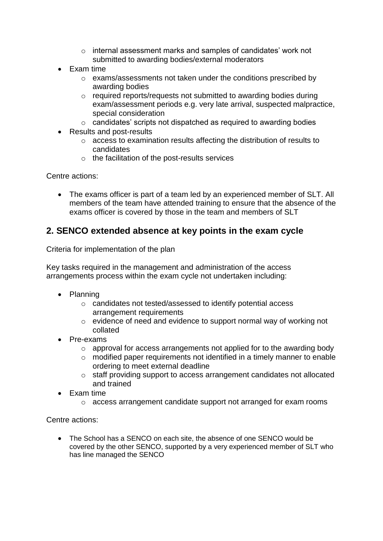- o internal assessment marks and samples of candidates' work not submitted to awarding bodies/external moderators
- Exam time
	- o exams/assessments not taken under the conditions prescribed by awarding bodies
	- o required reports/requests not submitted to awarding bodies during exam/assessment periods e.g. very late arrival, suspected malpractice, special consideration
	- o candidates' scripts not dispatched as required to awarding bodies
- Results and post-results
	- o access to examination results affecting the distribution of results to candidates
	- o the facilitation of the post-results services

Centre actions:

• The exams officer is part of a team led by an experienced member of SLT. All members of the team have attended training to ensure that the absence of the exams officer is covered by those in the team and members of SLT

#### <span id="page-3-0"></span>**2. SENCO extended absence at key points in the exam cycle**

Criteria for implementation of the plan

Key tasks required in the management and administration of the access arrangements process within the exam cycle not undertaken including:

- Planning
	- o candidates not tested/assessed to identify potential access arrangement requirements
	- o evidence of need and evidence to support normal way of working not collated
- Pre-exams
	- o approval for access arrangements not applied for to the awarding body
	- o modified paper requirements not identified in a timely manner to enable ordering to meet external deadline
	- o staff providing support to access arrangement candidates not allocated and trained
- Exam time
	- o access arrangement candidate support not arranged for exam rooms

Centre actions:

 The School has a SENCO on each site, the absence of one SENCO would be covered by the other SENCO, supported by a very experienced member of SLT who has line managed the SENCO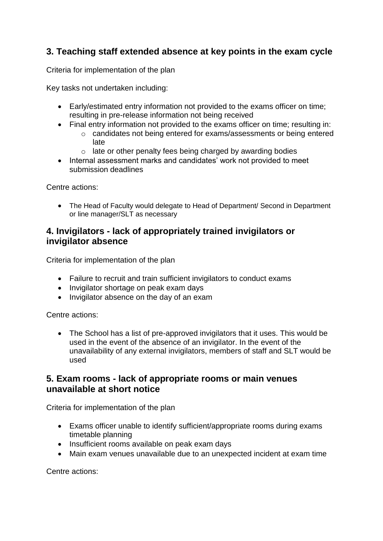#### <span id="page-4-0"></span>**3. Teaching staff extended absence at key points in the exam cycle**

Criteria for implementation of the plan

Key tasks not undertaken including:

- Early/estimated entry information not provided to the exams officer on time; resulting in pre-release information not being received
- Final entry information not provided to the exams officer on time; resulting in: o candidates not being entered for exams/assessments or being entered late
	- o late or other penalty fees being charged by awarding bodies
- Internal assessment marks and candidates' work not provided to meet submission deadlines

Centre actions:

 The Head of Faculty would delegate to Head of Department/ Second in Department or line manager/SLT as necessary

#### <span id="page-4-1"></span>**4. Invigilators - lack of appropriately trained invigilators or invigilator absence**

Criteria for implementation of the plan

- Failure to recruit and train sufficient invigilators to conduct exams
- Invigilator shortage on peak exam days
- Invigilator absence on the day of an exam

Centre actions:

• The School has a list of pre-approved invigilators that it uses. This would be used in the event of the absence of an invigilator. In the event of the unavailability of any external invigilators, members of staff and SLT would be used

#### <span id="page-4-2"></span>**5. Exam rooms - lack of appropriate rooms or main venues unavailable at short notice**

Criteria for implementation of the plan

- Exams officer unable to identify sufficient/appropriate rooms during exams timetable planning
- Insufficient rooms available on peak exam days
- Main exam venues unavailable due to an unexpected incident at exam time

Centre actions: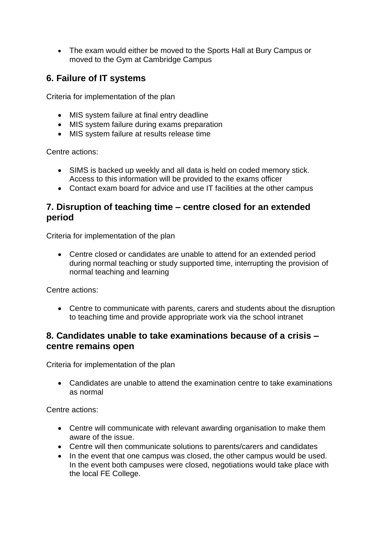• The exam would either be moved to the Sports Hall at Bury Campus or moved to the Gym at Cambridge Campus

#### <span id="page-5-0"></span>**6. Failure of IT systems**

Criteria for implementation of the plan

- MIS system failure at final entry deadline
- MIS system failure during exams preparation
- MIS system failure at results release time

Centre actions:

- SIMS is backed up weekly and all data is held on coded memory stick. Access to this information will be provided to the exams officer
- Contact exam board for advice and use IT facilities at the other campus

#### <span id="page-5-1"></span>**7. Disruption of teaching time – centre closed for an extended period**

Criteria for implementation of the plan

 Centre closed or candidates are unable to attend for an extended period during normal teaching or study supported time, interrupting the provision of normal teaching and learning

Centre actions:

 Centre to communicate with parents, carers and students about the disruption to teaching time and provide appropriate work via the school intranet

#### <span id="page-5-2"></span>**8. Candidates unable to take examinations because of a crisis – centre remains open**

Criteria for implementation of the plan

 Candidates are unable to attend the examination centre to take examinations as normal

Centre actions:

- Centre will communicate with relevant awarding organisation to make them aware of the issue.
- Centre will then communicate solutions to parents/carers and candidates
- In the event that one campus was closed, the other campus would be used. In the event both campuses were closed, negotiations would take place with the local FE College.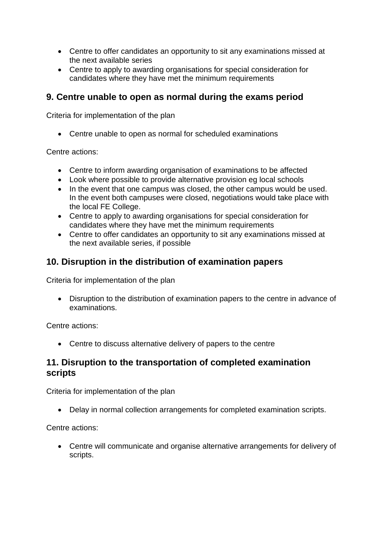- Centre to offer candidates an opportunity to sit any examinations missed at the next available series
- Centre to apply to awarding organisations for special consideration for candidates where they have met the minimum requirements

#### <span id="page-6-0"></span>**9. Centre unable to open as normal during the exams period**

Criteria for implementation of the plan

Centre unable to open as normal for scheduled examinations

Centre actions:

- Centre to inform awarding organisation of examinations to be affected
- Look where possible to provide alternative provision eg local schools
- In the event that one campus was closed, the other campus would be used. In the event both campuses were closed, negotiations would take place with the local FE College.
- Centre to apply to awarding organisations for special consideration for candidates where they have met the minimum requirements
- Centre to offer candidates an opportunity to sit any examinations missed at the next available series, if possible

#### <span id="page-6-1"></span>**10. Disruption in the distribution of examination papers**

Criteria for implementation of the plan

 Disruption to the distribution of examination papers to the centre in advance of examinations.

Centre actions:

Centre to discuss alternative delivery of papers to the centre

#### <span id="page-6-2"></span>**11. Disruption to the transportation of completed examination scripts**

Criteria for implementation of the plan

Delay in normal collection arrangements for completed examination scripts.

Centre actions:

 Centre will communicate and organise alternative arrangements for delivery of scripts.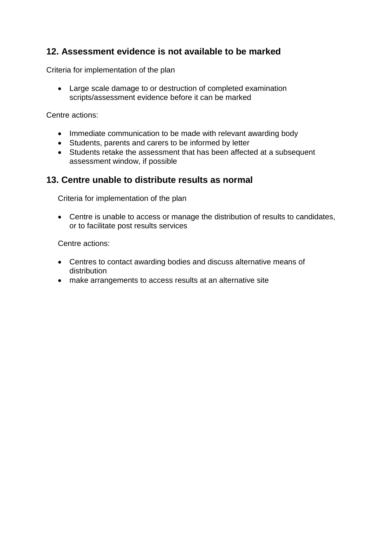#### <span id="page-7-0"></span>**12. Assessment evidence is not available to be marked**

Criteria for implementation of the plan

 Large scale damage to or destruction of completed examination scripts/assessment evidence before it can be marked

Centre actions:

- Immediate communication to be made with relevant awarding body
- Students, parents and carers to be informed by letter
- Students retake the assessment that has been affected at a subsequent assessment window, if possible

#### <span id="page-7-1"></span>**13. Centre unable to distribute results as normal**

Criteria for implementation of the plan

 Centre is unable to access or manage the distribution of results to candidates, or to facilitate post results services

Centre actions:

- Centres to contact awarding bodies and discuss alternative means of distribution
- <span id="page-7-2"></span>make arrangements to access results at an alternative site